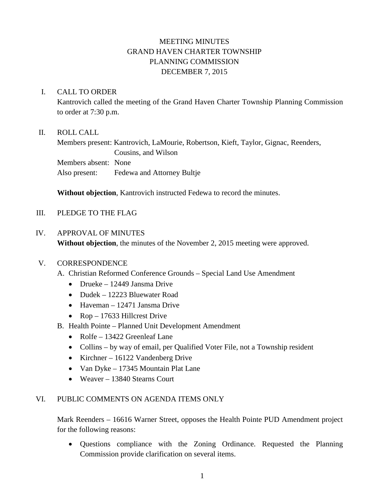# MEETING MINUTES GRAND HAVEN CHARTER TOWNSHIP PLANNING COMMISSION DECEMBER 7, 2015

# I. CALL TO ORDER

Kantrovich called the meeting of the Grand Haven Charter Township Planning Commission to order at 7:30 p.m.

# II. ROLL CALL

Members present: Kantrovich, LaMourie, Robertson, Kieft, Taylor, Gignac, Reenders, Cousins, and Wilson Members absent: None Also present: Fedewa and Attorney Bultje

**Without objection**, Kantrovich instructed Fedewa to record the minutes.

# III. PLEDGE TO THE FLAG

#### IV. APPROVAL OF MINUTES

**Without objection**, the minutes of the November 2, 2015 meeting were approved.

#### V. CORRESPONDENCE

- A. Christian Reformed Conference Grounds Special Land Use Amendment
	- Drueke 12449 Jansma Drive
	- Dudek 12223 Bluewater Road
	- Haveman 12471 Jansma Drive
	- Rop 17633 Hillcrest Drive
- B. Health Pointe Planned Unit Development Amendment
	- Rolfe 13422 Greenleaf Lane
	- Collins by way of email, per Qualified Voter File, not a Township resident
	- Kirchner 16122 Vandenberg Drive
	- Van Dyke 17345 Mountain Plat Lane
	- Weaver 13840 Stearns Court

### VI. PUBLIC COMMENTS ON AGENDA ITEMS ONLY

Mark Reenders – 16616 Warner Street, opposes the Health Pointe PUD Amendment project for the following reasons:

• Questions compliance with the Zoning Ordinance. Requested the Planning Commission provide clarification on several items.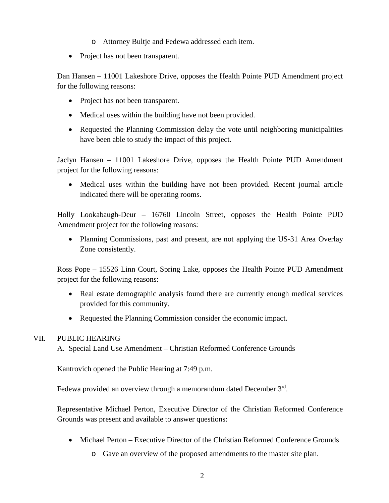- o Attorney Bultje and Fedewa addressed each item.
- Project has not been transparent.

Dan Hansen – 11001 Lakeshore Drive, opposes the Health Pointe PUD Amendment project for the following reasons:

- Project has not been transparent.
- Medical uses within the building have not been provided.
- Requested the Planning Commission delay the vote until neighboring municipalities have been able to study the impact of this project.

Jaclyn Hansen – 11001 Lakeshore Drive, opposes the Health Pointe PUD Amendment project for the following reasons:

• Medical uses within the building have not been provided. Recent journal article indicated there will be operating rooms.

Holly Lookabaugh-Deur – 16760 Lincoln Street, opposes the Health Pointe PUD Amendment project for the following reasons:

• Planning Commissions, past and present, are not applying the US-31 Area Overlay Zone consistently.

Ross Pope – 15526 Linn Court, Spring Lake, opposes the Health Pointe PUD Amendment project for the following reasons:

- Real estate demographic analysis found there are currently enough medical services provided for this community.
- Requested the Planning Commission consider the economic impact.

### VII. PUBLIC HEARING

A. Special Land Use Amendment – Christian Reformed Conference Grounds

Kantrovich opened the Public Hearing at 7:49 p.m.

Fedewa provided an overview through a memorandum dated December 3<sup>rd</sup>.

Representative Michael Perton, Executive Director of the Christian Reformed Conference Grounds was present and available to answer questions:

- Michael Perton Executive Director of the Christian Reformed Conference Grounds
	- o Gave an overview of the proposed amendments to the master site plan.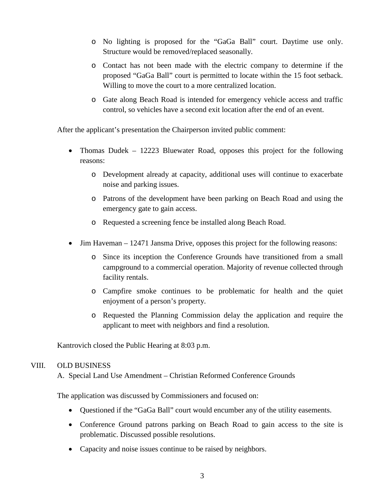- o No lighting is proposed for the "GaGa Ball" court. Daytime use only. Structure would be removed/replaced seasonally.
- o Contact has not been made with the electric company to determine if the proposed "GaGa Ball" court is permitted to locate within the 15 foot setback. Willing to move the court to a more centralized location.
- o Gate along Beach Road is intended for emergency vehicle access and traffic control, so vehicles have a second exit location after the end of an event.

After the applicant's presentation the Chairperson invited public comment:

- Thomas Dudek 12223 Bluewater Road, opposes this project for the following reasons:
	- o Development already at capacity, additional uses will continue to exacerbate noise and parking issues.
	- o Patrons of the development have been parking on Beach Road and using the emergency gate to gain access.
	- o Requested a screening fence be installed along Beach Road.
- Jim Haveman 12471 Jansma Drive, opposes this project for the following reasons:
	- o Since its inception the Conference Grounds have transitioned from a small campground to a commercial operation. Majority of revenue collected through facility rentals.
	- o Campfire smoke continues to be problematic for health and the quiet enjoyment of a person's property.
	- o Requested the Planning Commission delay the application and require the applicant to meet with neighbors and find a resolution.

Kantrovich closed the Public Hearing at 8:03 p.m.

#### VIII. OLD BUSINESS

A. Special Land Use Amendment – Christian Reformed Conference Grounds

The application was discussed by Commissioners and focused on:

- Questioned if the "GaGa Ball" court would encumber any of the utility easements.
- Conference Ground patrons parking on Beach Road to gain access to the site is problematic. Discussed possible resolutions.
- Capacity and noise issues continue to be raised by neighbors.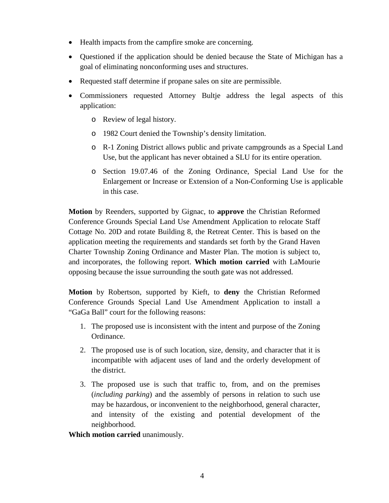- Health impacts from the campfire smoke are concerning.
- Questioned if the application should be denied because the State of Michigan has a goal of eliminating nonconforming uses and structures.
- Requested staff determine if propane sales on site are permissible.
- Commissioners requested Attorney Bultje address the legal aspects of this application:
	- o Review of legal history.
	- o 1982 Court denied the Township's density limitation.
	- o R-1 Zoning District allows public and private campgrounds as a Special Land Use, but the applicant has never obtained a SLU for its entire operation.
	- o Section 19.07.46 of the Zoning Ordinance, Special Land Use for the Enlargement or Increase or Extension of a Non-Conforming Use is applicable in this case.

**Motion** by Reenders, supported by Gignac, to **approve** the Christian Reformed Conference Grounds Special Land Use Amendment Application to relocate Staff Cottage No. 20D and rotate Building 8, the Retreat Center. This is based on the application meeting the requirements and standards set forth by the Grand Haven Charter Township Zoning Ordinance and Master Plan. The motion is subject to, and incorporates, the following report. **Which motion carried** with LaMourie opposing because the issue surrounding the south gate was not addressed.

**Motion** by Robertson, supported by Kieft, to **deny** the Christian Reformed Conference Grounds Special Land Use Amendment Application to install a "GaGa Ball" court for the following reasons:

- 1. The proposed use is inconsistent with the intent and purpose of the Zoning Ordinance.
- 2. The proposed use is of such location, size, density, and character that it is incompatible with adjacent uses of land and the orderly development of the district.
- 3. The proposed use is such that traffic to, from, and on the premises (*including parking*) and the assembly of persons in relation to such use may be hazardous, or inconvenient to the neighborhood, general character, and intensity of the existing and potential development of the neighborhood.

**Which motion carried** unanimously.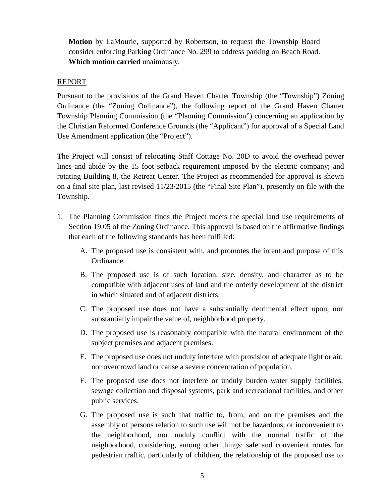**Motion** by LaMourie, supported by Robertson, to request the Township Board consider enforcing Parking Ordinance No. 299 to address parking on Beach Road. **Which motion carried** unaimously.

# REPORT

Pursuant to the provisions of the Grand Haven Charter Township (the "Township") Zoning Ordinance (the "Zoning Ordinance"), the following report of the Grand Haven Charter Township Planning Commission (the "Planning Commission") concerning an application by the Christian Reformed Conference Grounds (the "Applicant") for approval of a Special Land Use Amendment application (the "Project").

The Project will consist of relocating Staff Cottage No. 20D to avoid the overhead power lines and abide by the 15 foot setback requirement imposed by the electric company; and rotating Building 8, the Retreat Center. The Project as recommended for approval is shown on a final site plan, last revised 11/23/2015 (the "Final Site Plan"), presently on file with the Township.

- 1. The Planning Commission finds the Project meets the special land use requirements of Section 19.05 of the Zoning Ordinance. This approval is based on the affirmative findings that each of the following standards has been fulfilled:
	- A. The proposed use is consistent with, and promotes the intent and purpose of this Ordinance.
	- B. The proposed use is of such location, size, density, and character as to be compatible with adjacent uses of land and the orderly development of the district in which situated and of adjacent districts.
	- C. The proposed use does not have a substantially detrimental effect upon, nor substantially impair the value of, neighborhood property.
	- D. The proposed use is reasonably compatible with the natural environment of the subject premises and adjacent premises.
	- E. The proposed use does not unduly interfere with provision of adequate light or air, nor overcrowd land or cause a severe concentration of population.
	- F. The proposed use does not interfere or unduly burden water supply facilities, sewage collection and disposal systems, park and recreational facilities, and other public services.
	- G. The proposed use is such that traffic to, from, and on the premises and the assembly of persons relation to such use will not be hazardous, or inconvenient to the neighborhood, nor unduly conflict with the normal traffic of the neighborhood, considering, among other things: safe and convenient routes for pedestrian traffic, particularly of children, the relationship of the proposed use to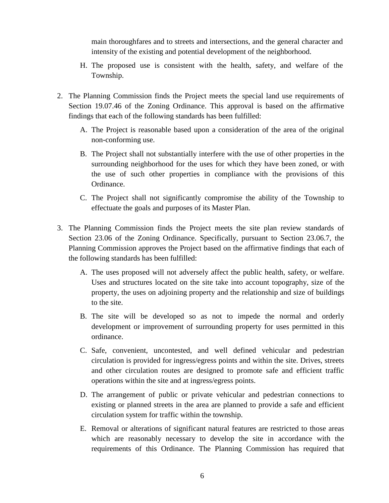main thoroughfares and to streets and intersections, and the general character and intensity of the existing and potential development of the neighborhood.

- H. The proposed use is consistent with the health, safety, and welfare of the Township.
- 2. The Planning Commission finds the Project meets the special land use requirements of Section 19.07.46 of the Zoning Ordinance. This approval is based on the affirmative findings that each of the following standards has been fulfilled:
	- A. The Project is reasonable based upon a consideration of the area of the original non-conforming use.
	- B. The Project shall not substantially interfere with the use of other properties in the surrounding neighborhood for the uses for which they have been zoned, or with the use of such other properties in compliance with the provisions of this Ordinance.
	- C. The Project shall not significantly compromise the ability of the Township to effectuate the goals and purposes of its Master Plan.
- 3. The Planning Commission finds the Project meets the site plan review standards of Section 23.06 of the Zoning Ordinance. Specifically, pursuant to Section 23.06.7, the Planning Commission approves the Project based on the affirmative findings that each of the following standards has been fulfilled:
	- A. The uses proposed will not adversely affect the public health, safety, or welfare. Uses and structures located on the site take into account topography, size of the property, the uses on adjoining property and the relationship and size of buildings to the site.
	- B. The site will be developed so as not to impede the normal and orderly development or improvement of surrounding property for uses permitted in this ordinance.
	- C. Safe, convenient, uncontested, and well defined vehicular and pedestrian circulation is provided for ingress/egress points and within the site. Drives, streets and other circulation routes are designed to promote safe and efficient traffic operations within the site and at ingress/egress points.
	- D. The arrangement of public or private vehicular and pedestrian connections to existing or planned streets in the area are planned to provide a safe and efficient circulation system for traffic within the township.
	- E. Removal or alterations of significant natural features are restricted to those areas which are reasonably necessary to develop the site in accordance with the requirements of this Ordinance. The Planning Commission has required that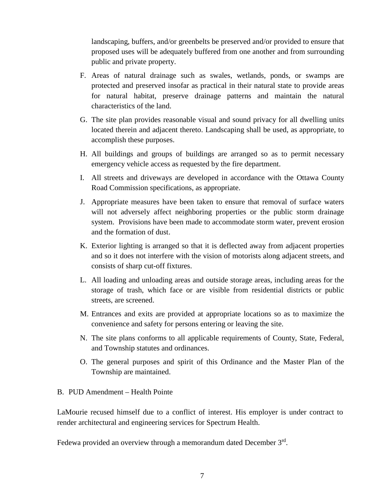landscaping, buffers, and/or greenbelts be preserved and/or provided to ensure that proposed uses will be adequately buffered from one another and from surrounding public and private property.

- F. Areas of natural drainage such as swales, wetlands, ponds, or swamps are protected and preserved insofar as practical in their natural state to provide areas for natural habitat, preserve drainage patterns and maintain the natural characteristics of the land.
- G. The site plan provides reasonable visual and sound privacy for all dwelling units located therein and adjacent thereto. Landscaping shall be used, as appropriate, to accomplish these purposes.
- H. All buildings and groups of buildings are arranged so as to permit necessary emergency vehicle access as requested by the fire department.
- I. All streets and driveways are developed in accordance with the Ottawa County Road Commission specifications, as appropriate.
- J. Appropriate measures have been taken to ensure that removal of surface waters will not adversely affect neighboring properties or the public storm drainage system. Provisions have been made to accommodate storm water, prevent erosion and the formation of dust.
- K. Exterior lighting is arranged so that it is deflected away from adjacent properties and so it does not interfere with the vision of motorists along adjacent streets, and consists of sharp cut-off fixtures.
- L. All loading and unloading areas and outside storage areas, including areas for the storage of trash, which face or are visible from residential districts or public streets, are screened.
- M. Entrances and exits are provided at appropriate locations so as to maximize the convenience and safety for persons entering or leaving the site.
- N. The site plans conforms to all applicable requirements of County, State, Federal, and Township statutes and ordinances.
- O. The general purposes and spirit of this Ordinance and the Master Plan of the Township are maintained.

# B. PUD Amendment – Health Pointe

LaMourie recused himself due to a conflict of interest. His employer is under contract to render architectural and engineering services for Spectrum Health.

Fedewa provided an overview through a memorandum dated December 3<sup>rd</sup>.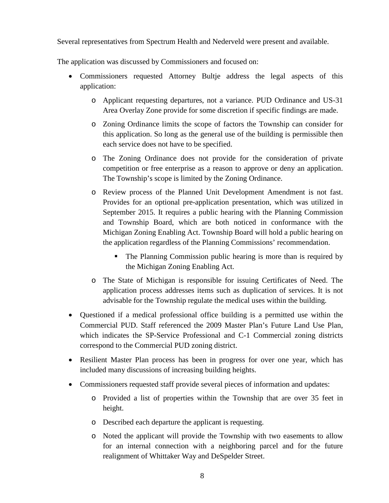Several representatives from Spectrum Health and Nederveld were present and available.

The application was discussed by Commissioners and focused on:

- Commissioners requested Attorney Bultje address the legal aspects of this application:
	- o Applicant requesting departures, not a variance. PUD Ordinance and US-31 Area Overlay Zone provide for some discretion if specific findings are made.
	- o Zoning Ordinance limits the scope of factors the Township can consider for this application. So long as the general use of the building is permissible then each service does not have to be specified.
	- o The Zoning Ordinance does not provide for the consideration of private competition or free enterprise as a reason to approve or deny an application. The Township's scope is limited by the Zoning Ordinance.
	- o Review process of the Planned Unit Development Amendment is not fast. Provides for an optional pre-application presentation, which was utilized in September 2015. It requires a public hearing with the Planning Commission and Township Board, which are both noticed in conformance with the Michigan Zoning Enabling Act. Township Board will hold a public hearing on the application regardless of the Planning Commissions' recommendation.
		- The Planning Commission public hearing is more than is required by the Michigan Zoning Enabling Act.
	- o The State of Michigan is responsible for issuing Certificates of Need. The application process addresses items such as duplication of services. It is not advisable for the Township regulate the medical uses within the building.
- Questioned if a medical professional office building is a permitted use within the Commercial PUD. Staff referenced the 2009 Master Plan's Future Land Use Plan, which indicates the SP-Service Professional and C-1 Commercial zoning districts correspond to the Commercial PUD zoning district.
- Resilient Master Plan process has been in progress for over one year, which has included many discussions of increasing building heights.
- Commissioners requested staff provide several pieces of information and updates:
	- o Provided a list of properties within the Township that are over 35 feet in height.
	- o Described each departure the applicant is requesting.
	- o Noted the applicant will provide the Township with two easements to allow for an internal connection with a neighboring parcel and for the future realignment of Whittaker Way and DeSpelder Street.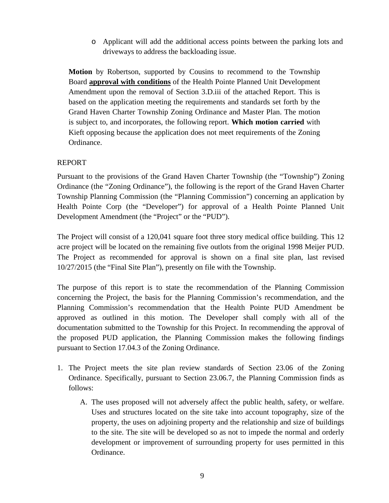o Applicant will add the additional access points between the parking lots and driveways to address the backloading issue.

**Motion** by Robertson, supported by Cousins to recommend to the Township Board **approval with conditions** of the Health Pointe Planned Unit Development Amendment upon the removal of Section 3.D.iii of the attached Report. This is based on the application meeting the requirements and standards set forth by the Grand Haven Charter Township Zoning Ordinance and Master Plan. The motion is subject to, and incorporates, the following report. **Which motion carried** with Kieft opposing because the application does not meet requirements of the Zoning Ordinance.

# REPORT

Pursuant to the provisions of the Grand Haven Charter Township (the "Township") Zoning Ordinance (the "Zoning Ordinance"), the following is the report of the Grand Haven Charter Township Planning Commission (the "Planning Commission") concerning an application by Health Pointe Corp (the "Developer") for approval of a Health Pointe Planned Unit Development Amendment (the "Project" or the "PUD").

The Project will consist of a 120,041 square foot three story medical office building. This 12 acre project will be located on the remaining five outlots from the original 1998 Meijer PUD. The Project as recommended for approval is shown on a final site plan, last revised 10/27/2015 (the "Final Site Plan"), presently on file with the Township.

The purpose of this report is to state the recommendation of the Planning Commission concerning the Project, the basis for the Planning Commission's recommendation, and the Planning Commission's recommendation that the Health Pointe PUD Amendment be approved as outlined in this motion. The Developer shall comply with all of the documentation submitted to the Township for this Project. In recommending the approval of the proposed PUD application, the Planning Commission makes the following findings pursuant to Section 17.04.3 of the Zoning Ordinance.

- 1. The Project meets the site plan review standards of Section 23.06 of the Zoning Ordinance. Specifically, pursuant to Section 23.06.7, the Planning Commission finds as follows:
	- A. The uses proposed will not adversely affect the public health, safety, or welfare. Uses and structures located on the site take into account topography, size of the property, the uses on adjoining property and the relationship and size of buildings to the site. The site will be developed so as not to impede the normal and orderly development or improvement of surrounding property for uses permitted in this Ordinance.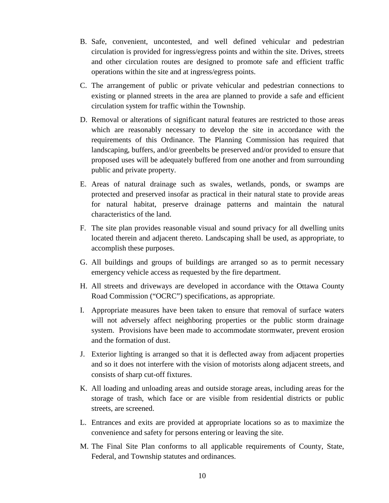- B. Safe, convenient, uncontested, and well defined vehicular and pedestrian circulation is provided for ingress/egress points and within the site. Drives, streets and other circulation routes are designed to promote safe and efficient traffic operations within the site and at ingress/egress points.
- C. The arrangement of public or private vehicular and pedestrian connections to existing or planned streets in the area are planned to provide a safe and efficient circulation system for traffic within the Township.
- D. Removal or alterations of significant natural features are restricted to those areas which are reasonably necessary to develop the site in accordance with the requirements of this Ordinance. The Planning Commission has required that landscaping, buffers, and/or greenbelts be preserved and/or provided to ensure that proposed uses will be adequately buffered from one another and from surrounding public and private property.
- E. Areas of natural drainage such as swales, wetlands, ponds, or swamps are protected and preserved insofar as practical in their natural state to provide areas for natural habitat, preserve drainage patterns and maintain the natural characteristics of the land.
- F. The site plan provides reasonable visual and sound privacy for all dwelling units located therein and adjacent thereto. Landscaping shall be used, as appropriate, to accomplish these purposes.
- G. All buildings and groups of buildings are arranged so as to permit necessary emergency vehicle access as requested by the fire department.
- H. All streets and driveways are developed in accordance with the Ottawa County Road Commission ("OCRC") specifications, as appropriate.
- I. Appropriate measures have been taken to ensure that removal of surface waters will not adversely affect neighboring properties or the public storm drainage system. Provisions have been made to accommodate stormwater, prevent erosion and the formation of dust.
- J. Exterior lighting is arranged so that it is deflected away from adjacent properties and so it does not interfere with the vision of motorists along adjacent streets, and consists of sharp cut-off fixtures.
- K. All loading and unloading areas and outside storage areas, including areas for the storage of trash, which face or are visible from residential districts or public streets, are screened.
- L. Entrances and exits are provided at appropriate locations so as to maximize the convenience and safety for persons entering or leaving the site.
- M. The Final Site Plan conforms to all applicable requirements of County, State, Federal, and Township statutes and ordinances.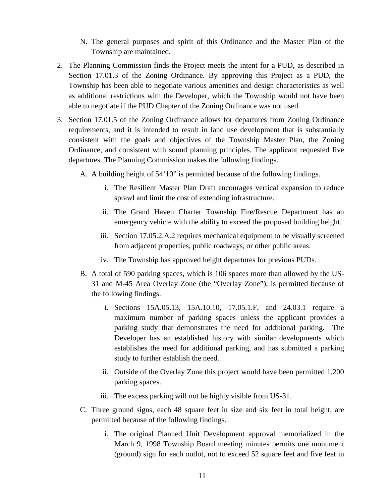- N. The general purposes and spirit of this Ordinance and the Master Plan of the Township are maintained.
- 2. The Planning Commission finds the Project meets the intent for a PUD, as described in Section 17.01.3 of the Zoning Ordinance. By approving this Project as a PUD, the Township has been able to negotiate various amenities and design characteristics as well as additional restrictions with the Developer, which the Township would not have been able to negotiate if the PUD Chapter of the Zoning Ordinance was not used.
- 3. Section 17.01.5 of the Zoning Ordinance allows for departures from Zoning Ordinance requirements, and it is intended to result in land use development that is substantially consistent with the goals and objectives of the Township Master Plan, the Zoning Ordinance, and consistent with sound planning principles. The applicant requested five departures. The Planning Commission makes the following findings.
	- A. A building height of 54'10" is permitted because of the following findings.
		- i. The Resilient Master Plan Draft encourages vertical expansion to reduce sprawl and limit the cost of extending infrastructure.
		- ii. The Grand Haven Charter Township Fire/Rescue Department has an emergency vehicle with the ability to exceed the proposed building height.
		- iii. Section 17.05.2.A.2 requires mechanical equipment to be visually screened from adjacent properties, public roadways, or other public areas.
		- iv. The Township has approved height departures for previous PUDs.
	- B. A total of 590 parking spaces, which is 106 spaces more than allowed by the US-31 and M-45 Area Overlay Zone (the "Overlay Zone"), is permitted because of the following findings.
		- i. Sections 15A.05.13, 15A.10.10, 17.05.1.F, and 24.03.1 require a maximum number of parking spaces unless the applicant provides a parking study that demonstrates the need for additional parking. The Developer has an established history with similar developments which establishes the need for additional parking, and has submitted a parking study to further establish the need.
		- ii. Outside of the Overlay Zone this project would have been permitted 1,200 parking spaces.
		- iii. The excess parking will not be highly visible from US-31.
	- C. Three ground signs, each 48 square feet in size and six feet in total height, are permitted because of the following findings.
		- i. The original Planned Unit Development approval memorialized in the March 9, 1998 Township Board meeting minutes permits one monument (ground) sign for each outlot, not to exceed 52 square feet and five feet in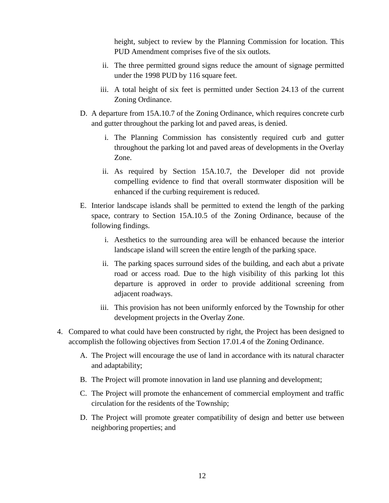height, subject to review by the Planning Commission for location. This PUD Amendment comprises five of the six outlots.

- ii. The three permitted ground signs reduce the amount of signage permitted under the 1998 PUD by 116 square feet.
- iii. A total height of six feet is permitted under Section 24.13 of the current Zoning Ordinance.
- D. A departure from 15A.10.7 of the Zoning Ordinance, which requires concrete curb and gutter throughout the parking lot and paved areas, is denied.
	- i. The Planning Commission has consistently required curb and gutter throughout the parking lot and paved areas of developments in the Overlay Zone.
	- ii. As required by Section 15A.10.7, the Developer did not provide compelling evidence to find that overall stormwater disposition will be enhanced if the curbing requirement is reduced.
- E. Interior landscape islands shall be permitted to extend the length of the parking space, contrary to Section 15A.10.5 of the Zoning Ordinance, because of the following findings.
	- i. Aesthetics to the surrounding area will be enhanced because the interior landscape island will screen the entire length of the parking space.
	- ii. The parking spaces surround sides of the building, and each abut a private road or access road. Due to the high visibility of this parking lot this departure is approved in order to provide additional screening from adjacent roadways.
	- iii. This provision has not been uniformly enforced by the Township for other development projects in the Overlay Zone.
- 4. Compared to what could have been constructed by right, the Project has been designed to accomplish the following objectives from Section 17.01.4 of the Zoning Ordinance.
	- A. The Project will encourage the use of land in accordance with its natural character and adaptability;
	- B. The Project will promote innovation in land use planning and development;
	- C. The Project will promote the enhancement of commercial employment and traffic circulation for the residents of the Township;
	- D. The Project will promote greater compatibility of design and better use between neighboring properties; and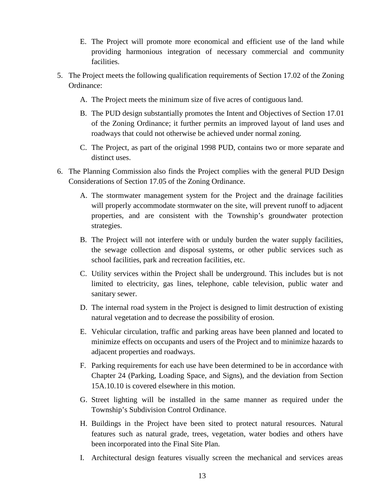- E. The Project will promote more economical and efficient use of the land while providing harmonious integration of necessary commercial and community facilities.
- 5. The Project meets the following qualification requirements of Section 17.02 of the Zoning Ordinance:
	- A. The Project meets the minimum size of five acres of contiguous land.
	- B. The PUD design substantially promotes the Intent and Objectives of Section 17.01 of the Zoning Ordinance; it further permits an improved layout of land uses and roadways that could not otherwise be achieved under normal zoning.
	- C. The Project, as part of the original 1998 PUD, contains two or more separate and distinct uses.
- 6. The Planning Commission also finds the Project complies with the general PUD Design Considerations of Section 17.05 of the Zoning Ordinance.
	- A. The stormwater management system for the Project and the drainage facilities will properly accommodate stormwater on the site, will prevent runoff to adjacent properties, and are consistent with the Township's groundwater protection strategies.
	- B. The Project will not interfere with or unduly burden the water supply facilities, the sewage collection and disposal systems, or other public services such as school facilities, park and recreation facilities, etc.
	- C. Utility services within the Project shall be underground. This includes but is not limited to electricity, gas lines, telephone, cable television, public water and sanitary sewer.
	- D. The internal road system in the Project is designed to limit destruction of existing natural vegetation and to decrease the possibility of erosion.
	- E. Vehicular circulation, traffic and parking areas have been planned and located to minimize effects on occupants and users of the Project and to minimize hazards to adjacent properties and roadways.
	- F. Parking requirements for each use have been determined to be in accordance with Chapter 24 (Parking, Loading Space, and Signs), and the deviation from Section 15A.10.10 is covered elsewhere in this motion.
	- G. Street lighting will be installed in the same manner as required under the Township's Subdivision Control Ordinance.
	- H. Buildings in the Project have been sited to protect natural resources. Natural features such as natural grade, trees, vegetation, water bodies and others have been incorporated into the Final Site Plan.
	- I. Architectural design features visually screen the mechanical and services areas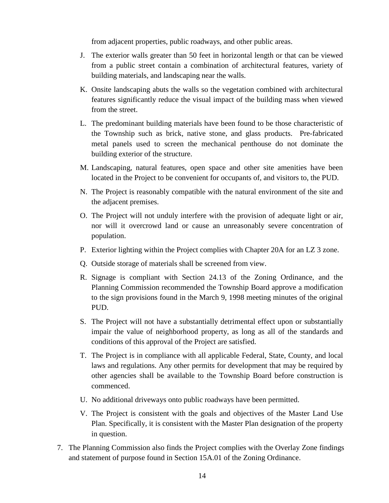from adjacent properties, public roadways, and other public areas.

- J. The exterior walls greater than 50 feet in horizontal length or that can be viewed from a public street contain a combination of architectural features, variety of building materials, and landscaping near the walls.
- K. Onsite landscaping abuts the walls so the vegetation combined with architectural features significantly reduce the visual impact of the building mass when viewed from the street.
- L. The predominant building materials have been found to be those characteristic of the Township such as brick, native stone, and glass products. Pre-fabricated metal panels used to screen the mechanical penthouse do not dominate the building exterior of the structure.
- M. Landscaping, natural features, open space and other site amenities have been located in the Project to be convenient for occupants of, and visitors to, the PUD.
- N. The Project is reasonably compatible with the natural environment of the site and the adjacent premises.
- O. The Project will not unduly interfere with the provision of adequate light or air, nor will it overcrowd land or cause an unreasonably severe concentration of population.
- P. Exterior lighting within the Project complies with Chapter 20A for an LZ 3 zone.
- Q. Outside storage of materials shall be screened from view.
- R. Signage is compliant with Section 24.13 of the Zoning Ordinance, and the Planning Commission recommended the Township Board approve a modification to the sign provisions found in the March 9, 1998 meeting minutes of the original PUD.
- S. The Project will not have a substantially detrimental effect upon or substantially impair the value of neighborhood property, as long as all of the standards and conditions of this approval of the Project are satisfied.
- T. The Project is in compliance with all applicable Federal, State, County, and local laws and regulations. Any other permits for development that may be required by other agencies shall be available to the Township Board before construction is commenced.
- U. No additional driveways onto public roadways have been permitted.
- V. The Project is consistent with the goals and objectives of the Master Land Use Plan. Specifically, it is consistent with the Master Plan designation of the property in question.
- 7. The Planning Commission also finds the Project complies with the Overlay Zone findings and statement of purpose found in Section 15A.01 of the Zoning Ordinance.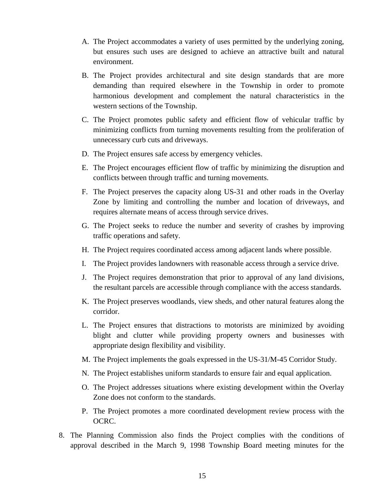- A. The Project accommodates a variety of uses permitted by the underlying zoning, but ensures such uses are designed to achieve an attractive built and natural environment.
- B. The Project provides architectural and site design standards that are more demanding than required elsewhere in the Township in order to promote harmonious development and complement the natural characteristics in the western sections of the Township.
- C. The Project promotes public safety and efficient flow of vehicular traffic by minimizing conflicts from turning movements resulting from the proliferation of unnecessary curb cuts and driveways.
- D. The Project ensures safe access by emergency vehicles.
- E. The Project encourages efficient flow of traffic by minimizing the disruption and conflicts between through traffic and turning movements.
- F. The Project preserves the capacity along US-31 and other roads in the Overlay Zone by limiting and controlling the number and location of driveways, and requires alternate means of access through service drives.
- G. The Project seeks to reduce the number and severity of crashes by improving traffic operations and safety.
- H. The Project requires coordinated access among adjacent lands where possible.
- I. The Project provides landowners with reasonable access through a service drive.
- J. The Project requires demonstration that prior to approval of any land divisions, the resultant parcels are accessible through compliance with the access standards.
- K. The Project preserves woodlands, view sheds, and other natural features along the corridor.
- L. The Project ensures that distractions to motorists are minimized by avoiding blight and clutter while providing property owners and businesses with appropriate design flexibility and visibility.
- M. The Project implements the goals expressed in the US-31/M-45 Corridor Study.
- N. The Project establishes uniform standards to ensure fair and equal application.
- O. The Project addresses situations where existing development within the Overlay Zone does not conform to the standards.
- P. The Project promotes a more coordinated development review process with the OCRC.
- 8. The Planning Commission also finds the Project complies with the conditions of approval described in the March 9, 1998 Township Board meeting minutes for the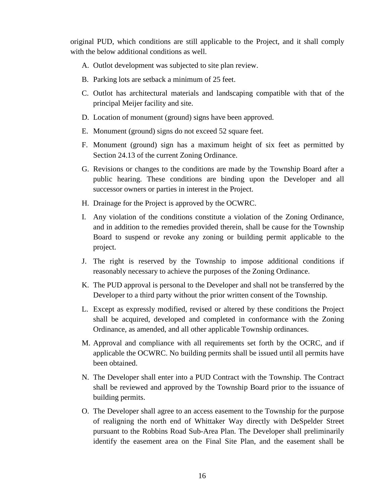original PUD, which conditions are still applicable to the Project, and it shall comply with the below additional conditions as well.

- A. Outlot development was subjected to site plan review.
- B. Parking lots are setback a minimum of 25 feet.
- C. Outlot has architectural materials and landscaping compatible with that of the principal Meijer facility and site.
- D. Location of monument (ground) signs have been approved.
- E. Monument (ground) signs do not exceed 52 square feet.
- F. Monument (ground) sign has a maximum height of six feet as permitted by Section 24.13 of the current Zoning Ordinance.
- G. Revisions or changes to the conditions are made by the Township Board after a public hearing. These conditions are binding upon the Developer and all successor owners or parties in interest in the Project.
- H. Drainage for the Project is approved by the OCWRC.
- I. Any violation of the conditions constitute a violation of the Zoning Ordinance, and in addition to the remedies provided therein, shall be cause for the Township Board to suspend or revoke any zoning or building permit applicable to the project.
- J. The right is reserved by the Township to impose additional conditions if reasonably necessary to achieve the purposes of the Zoning Ordinance.
- K. The PUD approval is personal to the Developer and shall not be transferred by the Developer to a third party without the prior written consent of the Township.
- L. Except as expressly modified, revised or altered by these conditions the Project shall be acquired, developed and completed in conformance with the Zoning Ordinance, as amended, and all other applicable Township ordinances.
- M. Approval and compliance with all requirements set forth by the OCRC, and if applicable the OCWRC. No building permits shall be issued until all permits have been obtained.
- N. The Developer shall enter into a PUD Contract with the Township. The Contract shall be reviewed and approved by the Township Board prior to the issuance of building permits.
- O. The Developer shall agree to an access easement to the Township for the purpose of realigning the north end of Whittaker Way directly with DeSpelder Street pursuant to the Robbins Road Sub-Area Plan. The Developer shall preliminarily identify the easement area on the Final Site Plan, and the easement shall be